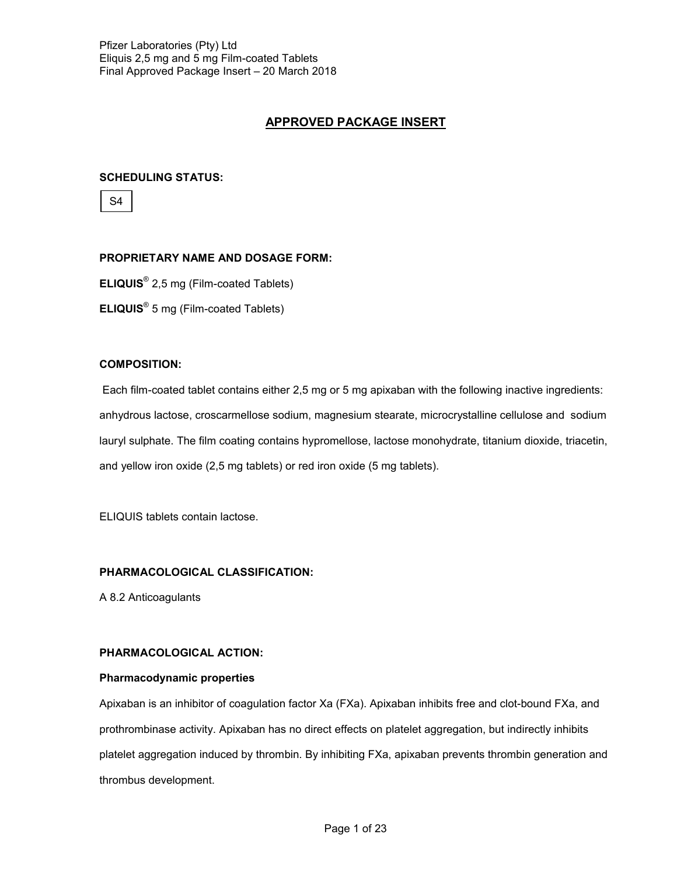# **APPROVED PACKAGE INSERT**

# **SCHEDULING STATUS:**

S4

## **PROPRIETARY NAME AND DOSAGE FORM:**

**ELIQUIS**® 2,5 mg (Film-coated Tablets)

**ELIQUIS**® 5 mg (Film-coated Tablets)

## **COMPOSITION:**

Each film-coated tablet contains either 2,5 mg or 5 mg apixaban with the following inactive ingredients: anhydrous lactose, croscarmellose sodium, magnesium stearate, microcrystalline cellulose and sodium lauryl sulphate. The film coating contains hypromellose, lactose monohydrate, titanium dioxide, triacetin, and yellow iron oxide (2,5 mg tablets) or red iron oxide (5 mg tablets).

ELIQUIS tablets contain lactose.

# **PHARMACOLOGICAL CLASSIFICATION:**

A 8.2 Anticoagulants

### **PHARMACOLOGICAL ACTION:**

### **Pharmacodynamic properties**

Apixaban is an inhibitor of coagulation factor Xa (FXa). Apixaban inhibits free and clot-bound FXa, and prothrombinase activity. Apixaban has no direct effects on platelet aggregation, but indirectly inhibits platelet aggregation induced by thrombin. By inhibiting FXa, apixaban prevents thrombin generation and thrombus development.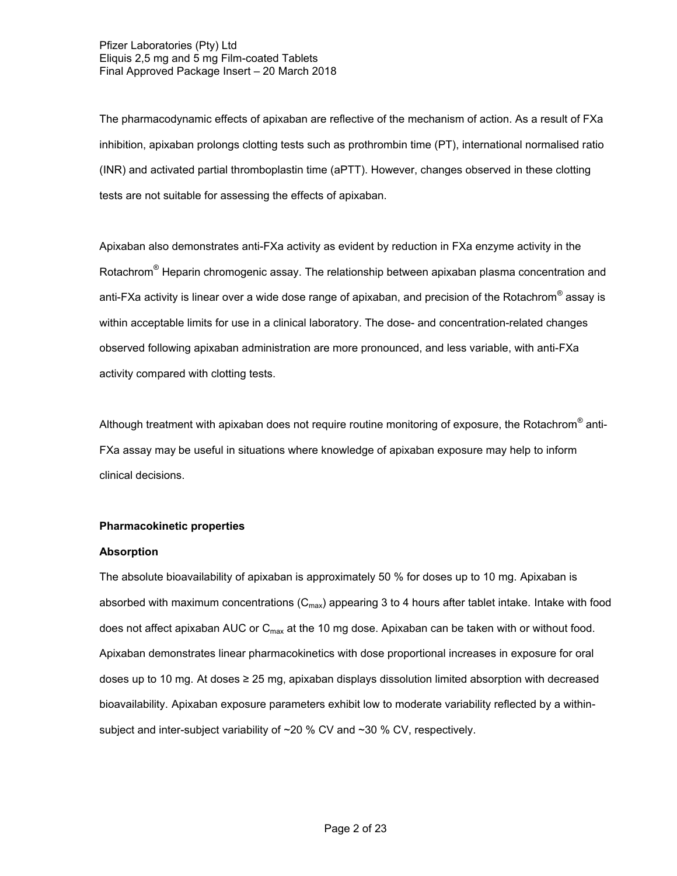The pharmacodynamic effects of apixaban are reflective of the mechanism of action. As a result of FXa inhibition, apixaban prolongs clotting tests such as prothrombin time (PT), international normalised ratio (INR) and activated partial thromboplastin time (aPTT). However, changes observed in these clotting tests are not suitable for assessing the effects of apixaban.

Apixaban also demonstrates anti-FXa activity as evident by reduction in FXa enzyme activity in the Rotachrom<sup>®</sup> Heparin chromogenic assay. The relationship between apixaban plasma concentration and anti-FXa activity is linear over a wide dose range of apixaban, and precision of the Rotachrom $^\circ$  assay is within acceptable limits for use in a clinical laboratory. The dose- and concentration-related changes observed following apixaban administration are more pronounced, and less variable, with anti-FXa activity compared with clotting tests.

Although treatment with apixaban does not require routine monitoring of exposure, the Rotachrom® anti-FXa assay may be useful in situations where knowledge of apixaban exposure may help to inform clinical decisions.

# **Pharmacokinetic properties**

### **Absorption**

The absolute bioavailability of apixaban is approximately 50 % for doses up to 10 mg. Apixaban is absorbed with maximum concentrations  $(C_{max})$  appearing 3 to 4 hours after tablet intake. Intake with food does not affect apixaban AUC or  $C_{\text{max}}$  at the 10 mg dose. Apixaban can be taken with or without food. Apixaban demonstrates linear pharmacokinetics with dose proportional increases in exposure for oral doses up to 10 mg. At doses ≥ 25 mg, apixaban displays dissolution limited absorption with decreased bioavailability. Apixaban exposure parameters exhibit low to moderate variability reflected by a withinsubject and inter-subject variability of  $\sim$  20 % CV and  $\sim$  30 % CV, respectively.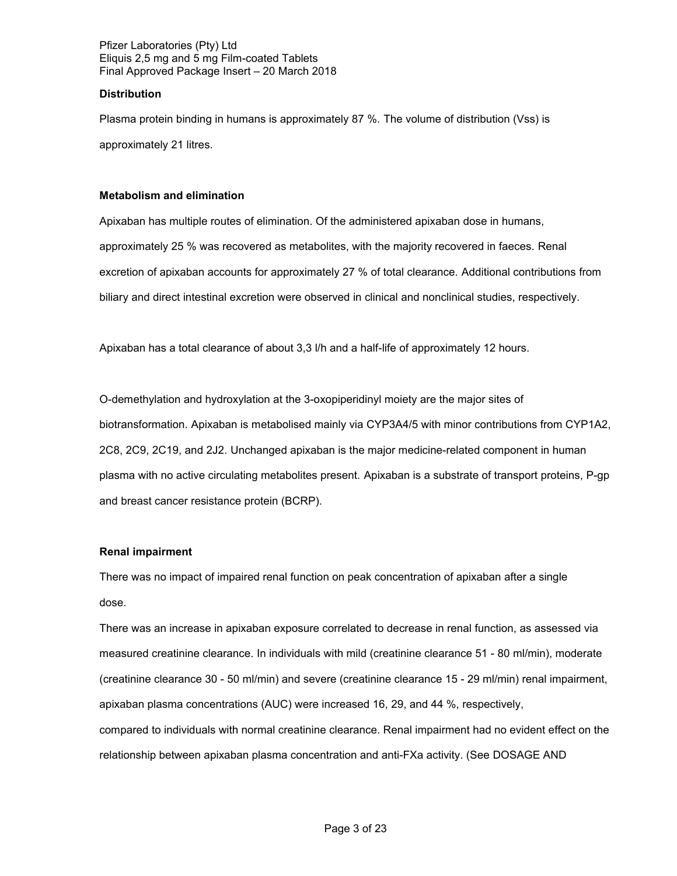## **Distribution**

Plasma protein binding in humans is approximately 87 %. The volume of distribution (Vss) is approximately 21 litres.

## **Metabolism and elimination**

Apixaban has multiple routes of elimination. Of the administered apixaban dose in humans, approximately 25 % was recovered as metabolites, with the majority recovered in faeces. Renal excretion of apixaban accounts for approximately 27 % of total clearance. Additional contributions from biliary and direct intestinal excretion were observed in clinical and nonclinical studies, respectively.

Apixaban has a total clearance of about 3,3 l/h and a half-life of approximately 12 hours.

O-demethylation and hydroxylation at the 3-oxopiperidinyl moiety are the major sites of biotransformation. Apixaban is metabolised mainly via CYP3A4/5 with minor contributions from CYP1A2, 2C8, 2C9, 2C19, and 2J2. Unchanged apixaban is the major medicine-related component in human plasma with no active circulating metabolites present. Apixaban is a substrate of transport proteins, P-gp and breast cancer resistance protein (BCRP).

### **Renal impairment**

There was no impact of impaired renal function on peak concentration of apixaban after a single dose.

There was an increase in apixaban exposure correlated to decrease in renal function, as assessed via measured creatinine clearance. In individuals with mild (creatinine clearance 51 - 80 ml/min), moderate (creatinine clearance 30 - 50 ml/min) and severe (creatinine clearance 15 - 29 ml/min) renal impairment, apixaban plasma concentrations (AUC) were increased 16, 29, and 44 %, respectively, compared to individuals with normal creatinine clearance. Renal impairment had no evident effect on the relationship between apixaban plasma concentration and anti-FXa activity. (See DOSAGE AND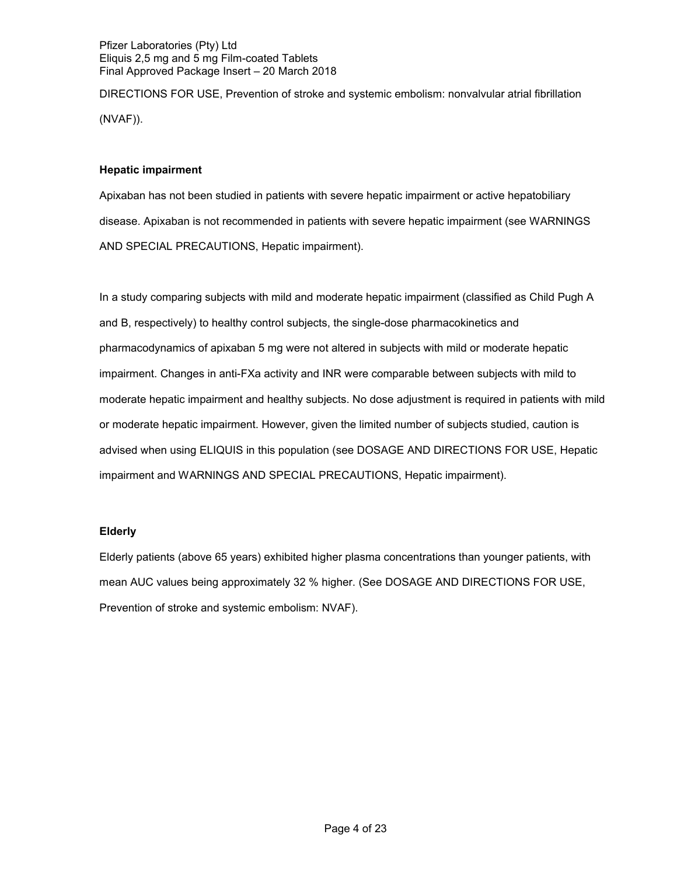DIRECTIONS FOR USE, Prevention of stroke and systemic embolism: nonvalvular atrial fibrillation (NVAF)).

## **Hepatic impairment**

Apixaban has not been studied in patients with severe hepatic impairment or active hepatobiliary disease. Apixaban is not recommended in patients with severe hepatic impairment (see WARNINGS AND SPECIAL PRECAUTIONS, Hepatic impairment).

In a study comparing subjects with mild and moderate hepatic impairment (classified as Child Pugh A and B, respectively) to healthy control subjects, the single-dose pharmacokinetics and pharmacodynamics of apixaban 5 mg were not altered in subjects with mild or moderate hepatic impairment. Changes in anti-FXa activity and INR were comparable between subjects with mild to moderate hepatic impairment and healthy subjects. No dose adjustment is required in patients with mild or moderate hepatic impairment. However, given the limited number of subjects studied, caution is advised when using ELIQUIS in this population (see DOSAGE AND DIRECTIONS FOR USE, Hepatic impairment and WARNINGS AND SPECIAL PRECAUTIONS, Hepatic impairment).

# **Elderly**

Elderly patients (above 65 years) exhibited higher plasma concentrations than younger patients, with mean AUC values being approximately 32 % higher. (See DOSAGE AND DIRECTIONS FOR USE, Prevention of stroke and systemic embolism: NVAF).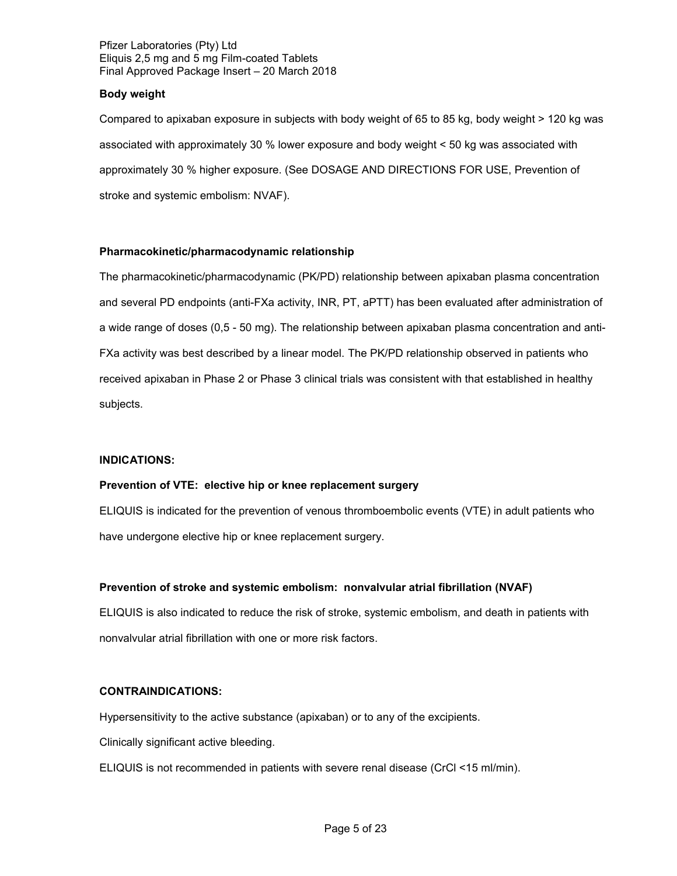## **Body weight**

Compared to apixaban exposure in subjects with body weight of 65 to 85 kg, body weight > 120 kg was associated with approximately 30 % lower exposure and body weight < 50 kg was associated with approximately 30 % higher exposure. (See DOSAGE AND DIRECTIONS FOR USE, Prevention of stroke and systemic embolism: NVAF).

# **Pharmacokinetic/pharmacodynamic relationship**

The pharmacokinetic/pharmacodynamic (PK/PD) relationship between apixaban plasma concentration and several PD endpoints (anti-FXa activity, INR, PT, aPTT) has been evaluated after administration of a wide range of doses (0,5 - 50 mg). The relationship between apixaban plasma concentration and anti-FXa activity was best described by a linear model. The PK/PD relationship observed in patients who received apixaban in Phase 2 or Phase 3 clinical trials was consistent with that established in healthy subjects.

### **INDICATIONS:**

### **Prevention of VTE: elective hip or knee replacement surgery**

ELIQUIS is indicated for the prevention of venous thromboembolic events (VTE) in adult patients who have undergone elective hip or knee replacement surgery.

# **Prevention of stroke and systemic embolism: nonvalvular atrial fibrillation (NVAF)**

ELIQUIS is also indicated to reduce the risk of stroke, systemic embolism, and death in patients with nonvalvular atrial fibrillation with one or more risk factors.

# **CONTRAINDICATIONS:**

Hypersensitivity to the active substance (apixaban) or to any of the excipients.

Clinically significant active bleeding.

ELIQUIS is not recommended in patients with severe renal disease (CrCl <15 ml/min).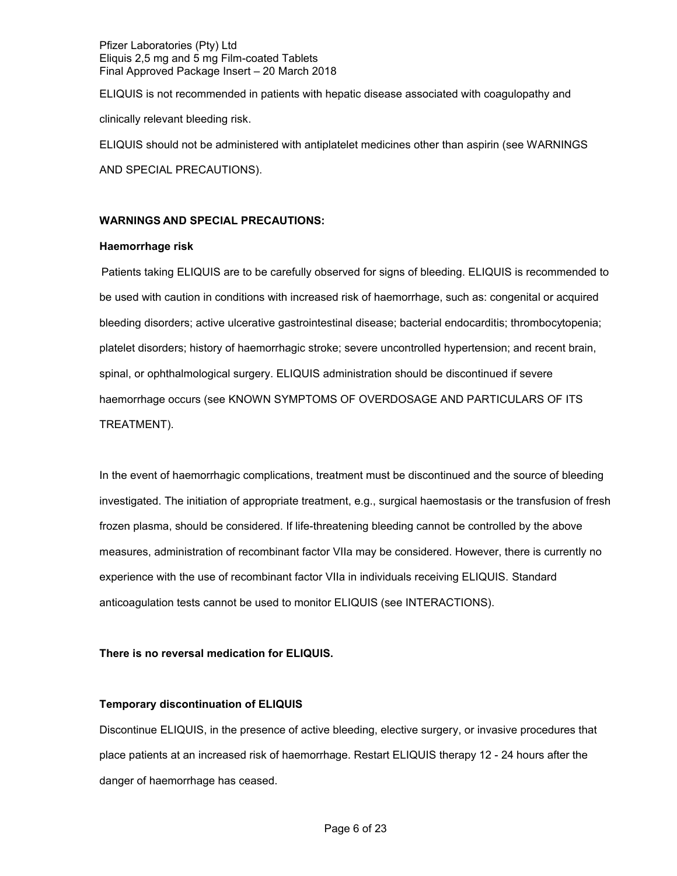ELIQUIS is not recommended in patients with hepatic disease associated with coagulopathy and clinically relevant bleeding risk.

ELIQUIS should not be administered with antiplatelet medicines other than aspirin (see WARNINGS

AND SPECIAL PRECAUTIONS).

## **WARNINGS AND SPECIAL PRECAUTIONS:**

## **Haemorrhage risk**

Patients taking ELIQUIS are to be carefully observed for signs of bleeding. ELIQUIS is recommended to be used with caution in conditions with increased risk of haemorrhage, such as: congenital or acquired bleeding disorders; active ulcerative gastrointestinal disease; bacterial endocarditis; thrombocytopenia; platelet disorders; history of haemorrhagic stroke; severe uncontrolled hypertension; and recent brain, spinal, or ophthalmological surgery. ELIQUIS administration should be discontinued if severe haemorrhage occurs (see KNOWN SYMPTOMS OF OVERDOSAGE AND PARTICULARS OF ITS TREATMENT).

In the event of haemorrhagic complications, treatment must be discontinued and the source of bleeding investigated. The initiation of appropriate treatment, e.g., surgical haemostasis or the transfusion of fresh frozen plasma, should be considered. If life-threatening bleeding cannot be controlled by the above measures, administration of recombinant factor VIIa may be considered. However, there is currently no experience with the use of recombinant factor VIIa in individuals receiving ELIQUIS. Standard anticoagulation tests cannot be used to monitor ELIQUIS (see INTERACTIONS).

# **There is no reversal medication for ELIQUIS.**

# **Temporary discontinuation of ELIQUIS**

Discontinue ELIQUIS, in the presence of active bleeding, elective surgery, or invasive procedures that place patients at an increased risk of haemorrhage. Restart ELIQUIS therapy 12 - 24 hours after the danger of haemorrhage has ceased.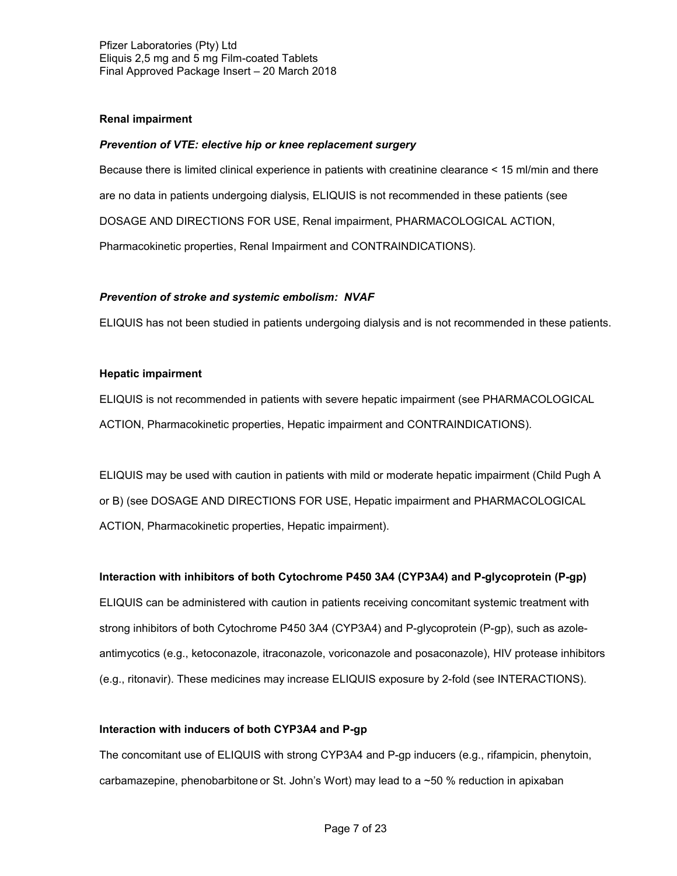## **Renal impairment**

### *Prevention of VTE: elective hip or knee replacement surgery*

Because there is limited clinical experience in patients with creatinine clearance < 15 ml/min and there are no data in patients undergoing dialysis, ELIQUIS is not recommended in these patients (see DOSAGE AND DIRECTIONS FOR USE, Renal impairment, PHARMACOLOGICAL ACTION, Pharmacokinetic properties, Renal Impairment and CONTRAINDICATIONS).

## *Prevention of stroke and systemic embolism: NVAF*

ELIQUIS has not been studied in patients undergoing dialysis and is not recommended in these patients.

## **Hepatic impairment**

ELIQUIS is not recommended in patients with severe hepatic impairment (see PHARMACOLOGICAL ACTION, Pharmacokinetic properties, Hepatic impairment and CONTRAINDICATIONS).

ELIQUIS may be used with caution in patients with mild or moderate hepatic impairment (Child Pugh A or B) (see DOSAGE AND DIRECTIONS FOR USE, Hepatic impairment and PHARMACOLOGICAL ACTION, Pharmacokinetic properties, Hepatic impairment).

# **Interaction with inhibitors of both Cytochrome P450 3A4 (CYP3A4) and P-glycoprotein (P-gp)**

ELIQUIS can be administered with caution in patients receiving concomitant systemic treatment with strong inhibitors of both Cytochrome P450 3A4 (CYP3A4) and P-glycoprotein (P-gp), such as azoleantimycotics (e.g., ketoconazole, itraconazole, voriconazole and posaconazole), HIV protease inhibitors (e.g., ritonavir). These medicines may increase ELIQUIS exposure by 2-fold (see INTERACTIONS).

# **Interaction with inducers of both CYP3A4 and P-gp**

The concomitant use of ELIQUIS with strong CYP3A4 and P-gp inducers (e.g., rifampicin, phenytoin, carbamazepine, phenobarbitone or St. John's Wort) may lead to a  $\sim$  50 % reduction in apixaban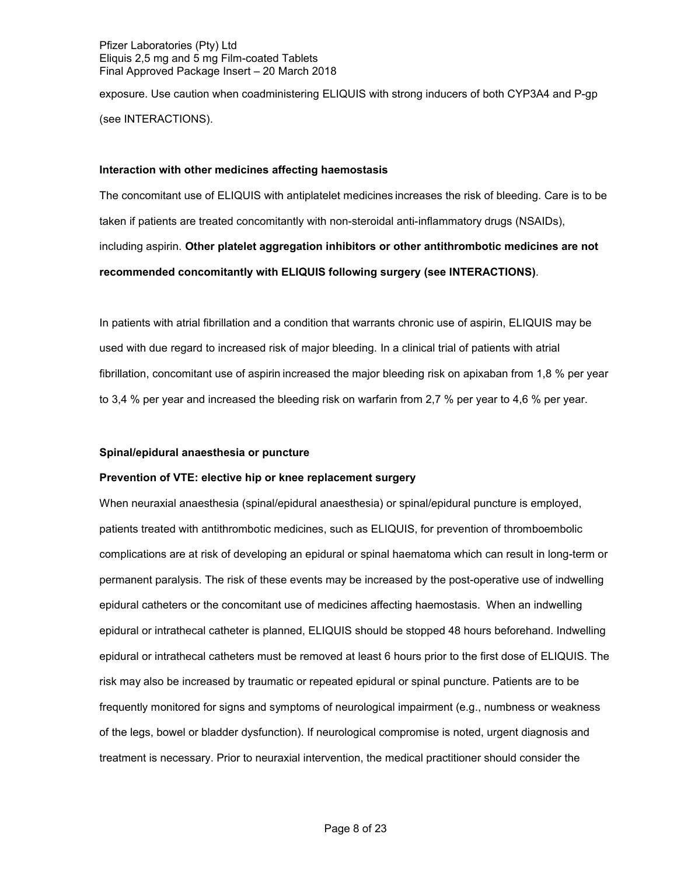exposure. Use caution when coadministering ELIQUIS with strong inducers of both CYP3A4 and P-gp (see INTERACTIONS).

### **Interaction with other medicines affecting haemostasis**

The concomitant use of ELIQUIS with antiplatelet medicines increases the risk of bleeding. Care is to be taken if patients are treated concomitantly with non-steroidal anti-inflammatory drugs (NSAIDs), including aspirin. **Other platelet aggregation inhibitors or other antithrombotic medicines are not recommended concomitantly with ELIQUIS following surgery (see INTERACTIONS)**.

In patients with atrial fibrillation and a condition that warrants chronic use of aspirin, ELIQUIS may be used with due regard to increased risk of major bleeding. In a clinical trial of patients with atrial fibrillation, concomitant use of aspirin increased the major bleeding risk on apixaban from 1,8 % per year to 3,4 % per year and increased the bleeding risk on warfarin from 2,7 % per year to 4,6 % per year.

### **Spinal/epidural anaesthesia or puncture**

### **Prevention of VTE: elective hip or knee replacement surgery**

When neuraxial anaesthesia (spinal/epidural anaesthesia) or spinal/epidural puncture is employed, patients treated with antithrombotic medicines, such as ELIQUIS, for prevention of thromboembolic complications are at risk of developing an epidural or spinal haematoma which can result in long-term or permanent paralysis. The risk of these events may be increased by the post-operative use of indwelling epidural catheters or the concomitant use of medicines affecting haemostasis. When an indwelling epidural or intrathecal catheter is planned, ELIQUIS should be stopped 48 hours beforehand. Indwelling epidural or intrathecal catheters must be removed at least 6 hours prior to the first dose of ELIQUIS. The risk may also be increased by traumatic or repeated epidural or spinal puncture. Patients are to be frequently monitored for signs and symptoms of neurological impairment (e.g., numbness or weakness of the legs, bowel or bladder dysfunction). If neurological compromise is noted, urgent diagnosis and treatment is necessary. Prior to neuraxial intervention, the medical practitioner should consider the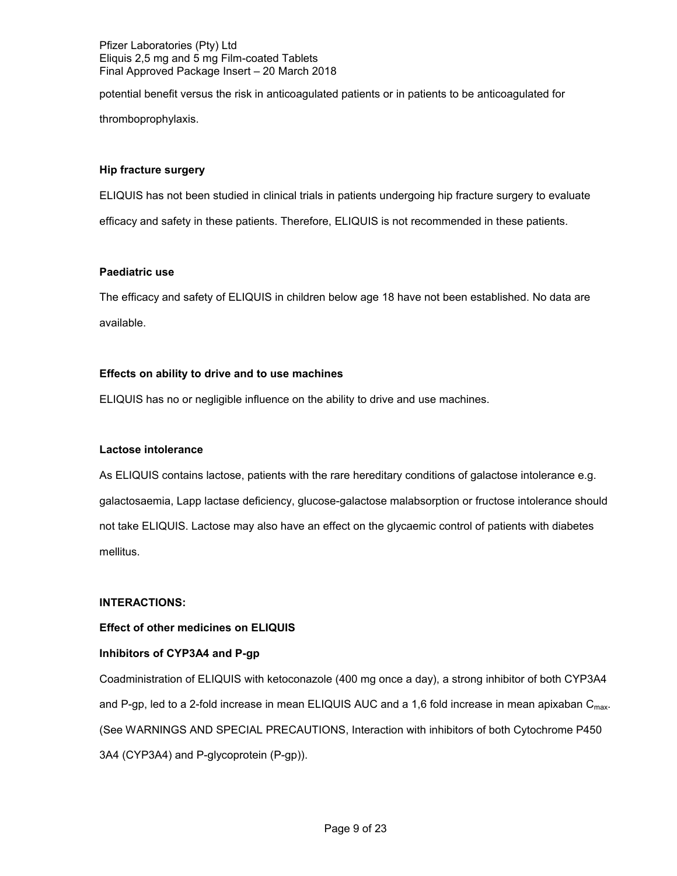potential benefit versus the risk in anticoagulated patients or in patients to be anticoagulated for thromboprophylaxis.

### **Hip fracture surgery**

ELIQUIS has not been studied in clinical trials in patients undergoing hip fracture surgery to evaluate efficacy and safety in these patients. Therefore, ELIQUIS is not recommended in these patients.

## **Paediatric use**

The efficacy and safety of ELIQUIS in children below age 18 have not been established. No data are available.

# **Effects on ability to drive and to use machines**

ELIQUIS has no or negligible influence on the ability to drive and use machines.

# **Lactose intolerance**

As ELIQUIS contains lactose, patients with the rare hereditary conditions of galactose intolerance e.g. galactosaemia, Lapp lactase deficiency, glucose-galactose malabsorption or fructose intolerance should not take ELIQUIS. Lactose may also have an effect on the glycaemic control of patients with diabetes mellitus.

### **INTERACTIONS:**

### **Effect of other medicines on ELIQUIS**

# **Inhibitors of CYP3A4 and P-gp**

Coadministration of ELIQUIS with ketoconazole (400 mg once a day), a strong inhibitor of both CYP3A4 and P-gp, led to a 2-fold increase in mean ELIQUIS AUC and a 1,6 fold increase in mean apixaban  $C_{\text{max}}$ . (See WARNINGS AND SPECIAL PRECAUTIONS, Interaction with inhibitors of both Cytochrome P450 3A4 (CYP3A4) and P-glycoprotein (P-gp)).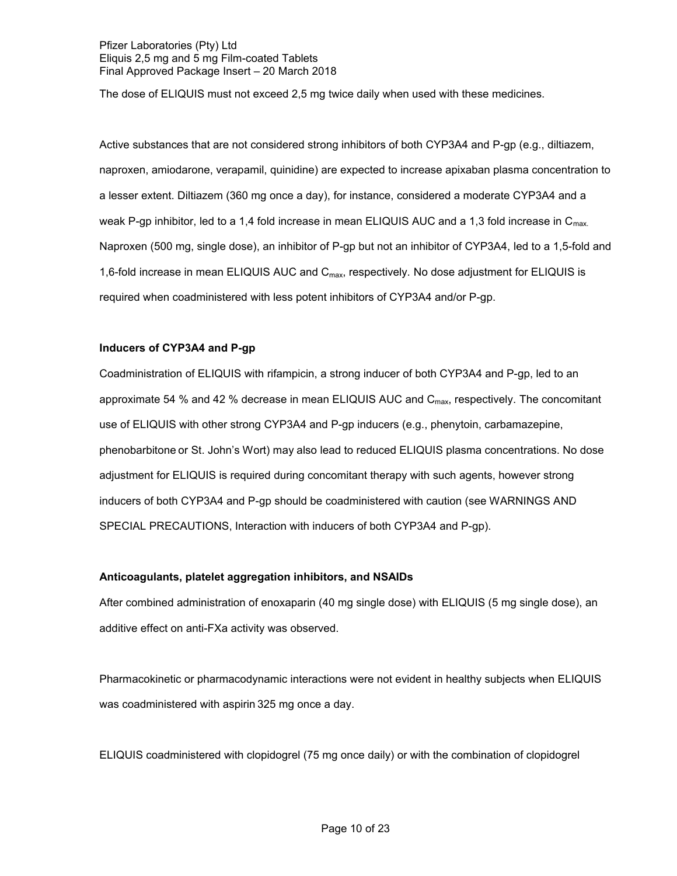The dose of ELIQUIS must not exceed 2,5 mg twice daily when used with these medicines.

Active substances that are not considered strong inhibitors of both CYP3A4 and P-gp (e.g., diltiazem, naproxen, amiodarone, verapamil, quinidine) are expected to increase apixaban plasma concentration to a lesser extent. Diltiazem (360 mg once a day), for instance, considered a moderate CYP3A4 and a weak P-gp inhibitor, led to a 1,4 fold increase in mean ELIQUIS AUC and a 1,3 fold increase in  $C_{\text{max}}$ . Naproxen (500 mg, single dose), an inhibitor of P-gp but not an inhibitor of CYP3A4, led to a 1,5-fold and 1,6-fold increase in mean ELIQUIS AUC and C<sub>max</sub>, respectively. No dose adjustment for ELIQUIS is required when coadministered with less potent inhibitors of CYP3A4 and/or P-gp.

## **Inducers of CYP3A4 and P-gp**

Coadministration of ELIQUIS with rifampicin, a strong inducer of both CYP3A4 and P-gp, led to an approximate 54 % and 42 % decrease in mean ELIQUIS AUC and  $C_{\text{max}}$ , respectively. The concomitant use of ELIQUIS with other strong CYP3A4 and P-gp inducers (e.g., phenytoin, carbamazepine, phenobarbitone or St. John's Wort) may also lead to reduced ELIQUIS plasma concentrations. No dose adjustment for ELIQUIS is required during concomitant therapy with such agents, however strong inducers of both CYP3A4 and P-gp should be coadministered with caution (see WARNINGS AND SPECIAL PRECAUTIONS, Interaction with inducers of both CYP3A4 and P-gp).

### **Anticoagulants, platelet aggregation inhibitors, and NSAIDs**

After combined administration of enoxaparin (40 mg single dose) with ELIQUIS (5 mg single dose), an additive effect on anti-FXa activity was observed.

Pharmacokinetic or pharmacodynamic interactions were not evident in healthy subjects when ELIQUIS was coadministered with aspirin 325 mg once a day.

ELIQUIS coadministered with clopidogrel (75 mg once daily) or with the combination of clopidogrel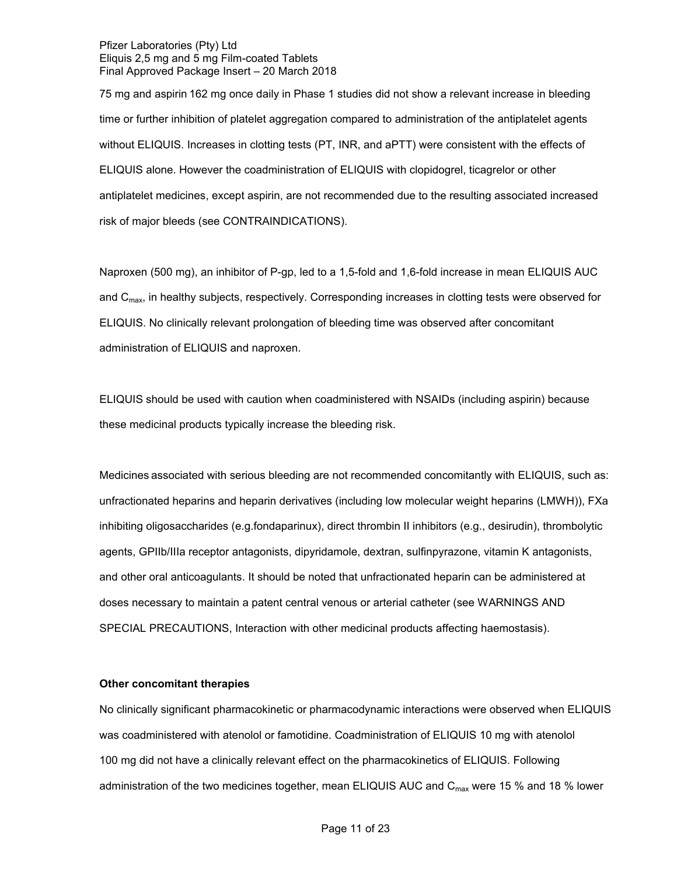75 mg and aspirin 162 mg once daily in Phase 1 studies did not show a relevant increase in bleeding time or further inhibition of platelet aggregation compared to administration of the antiplatelet agents without ELIQUIS. Increases in clotting tests (PT, INR, and aPTT) were consistent with the effects of ELIQUIS alone. However the coadministration of ELIQUIS with clopidogrel, ticagrelor or other antiplatelet medicines, except aspirin, are not recommended due to the resulting associated increased risk of major bleeds (see CONTRAINDICATIONS).

Naproxen (500 mg), an inhibitor of P-gp, led to a 1,5-fold and 1,6-fold increase in mean ELIQUIS AUC and C<sub>max</sub>, in healthy subjects, respectively. Corresponding increases in clotting tests were observed for ELIQUIS. No clinically relevant prolongation of bleeding time was observed after concomitant administration of ELIQUIS and naproxen.

ELIQUIS should be used with caution when coadministered with NSAIDs (including aspirin) because these medicinal products typically increase the bleeding risk.

Medicines associated with serious bleeding are not recommended concomitantly with ELIQUIS, such as: unfractionated heparins and heparin derivatives (including low molecular weight heparins (LMWH)), FXa inhibiting oligosaccharides (e.g.fondaparinux), direct thrombin II inhibitors (e.g., desirudin), thrombolytic agents, GPIIb/IIIa receptor antagonists, dipyridamole, dextran, sulfinpyrazone, vitamin K antagonists, and other oral anticoagulants. It should be noted that unfractionated heparin can be administered at doses necessary to maintain a patent central venous or arterial catheter (see WARNINGS AND SPECIAL PRECAUTIONS, Interaction with other medicinal products affecting haemostasis).

### **Other concomitant therapies**

No clinically significant pharmacokinetic or pharmacodynamic interactions were observed when ELIQUIS was coadministered with atenolol or famotidine. Coadministration of ELIQUIS 10 mg with atenolol 100 mg did not have a clinically relevant effect on the pharmacokinetics of ELIQUIS. Following administration of the two medicines together, mean ELIQUIS AUC and  $C_{\text{max}}$  were 15 % and 18 % lower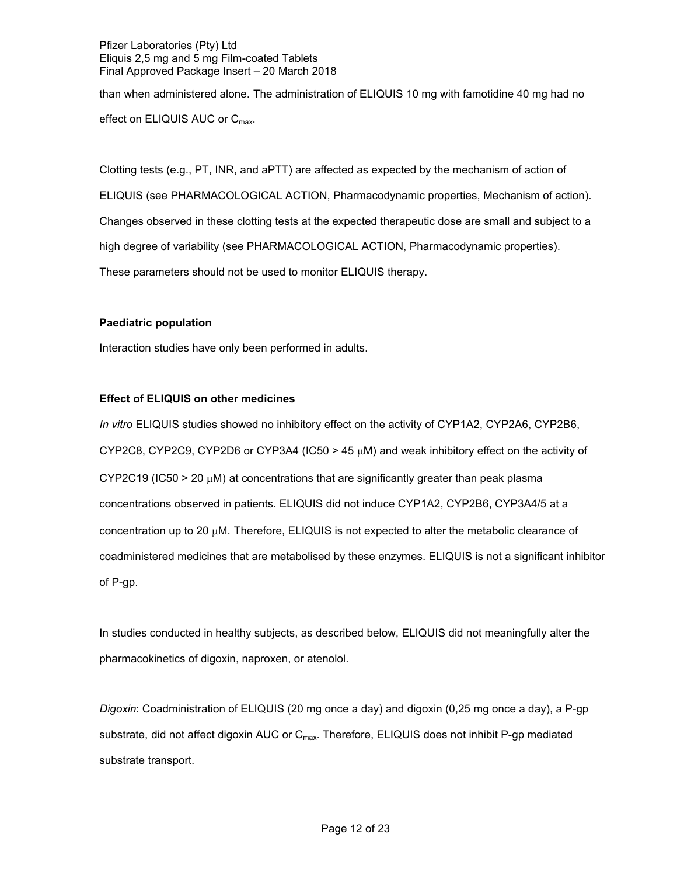than when administered alone. The administration of ELIQUIS 10 mg with famotidine 40 mg had no effect on ELIQUIS AUC or C<sub>max</sub>.

Clotting tests (e.g., PT, INR, and aPTT) are affected as expected by the mechanism of action of ELIQUIS (see PHARMACOLOGICAL ACTION, Pharmacodynamic properties, Mechanism of action). Changes observed in these clotting tests at the expected therapeutic dose are small and subject to a high degree of variability (see PHARMACOLOGICAL ACTION, Pharmacodynamic properties). These parameters should not be used to monitor ELIQUIS therapy.

# **Paediatric population**

Interaction studies have only been performed in adults.

# **Effect of ELIQUIS on other medicines**

*In vitro* ELIQUIS studies showed no inhibitory effect on the activity of CYP1A2, CYP2A6, CYP2B6, CYP2C8, CYP2C9, CYP2D6 or CYP3A4 (IC50 > 45  $\mu$ M) and weak inhibitory effect on the activity of  $CYP2C19$  (IC50 > 20  $\mu$ M) at concentrations that are significantly greater than peak plasma concentrations observed in patients. ELIQUIS did not induce CYP1A2, CYP2B6, CYP3A4/5 at a concentration up to 20 µM. Therefore, ELIQUIS is not expected to alter the metabolic clearance of coadministered medicines that are metabolised by these enzymes. ELIQUIS is not a significant inhibitor of P-gp.

In studies conducted in healthy subjects, as described below, ELIQUIS did not meaningfully alter the pharmacokinetics of digoxin, naproxen, or atenolol.

*Digoxin*: Coadministration of ELIQUIS (20 mg once a day) and digoxin (0,25 mg once a day), a P-gp substrate, did not affect digoxin AUC or C<sub>max</sub>. Therefore, ELIQUIS does not inhibit P-gp mediated substrate transport.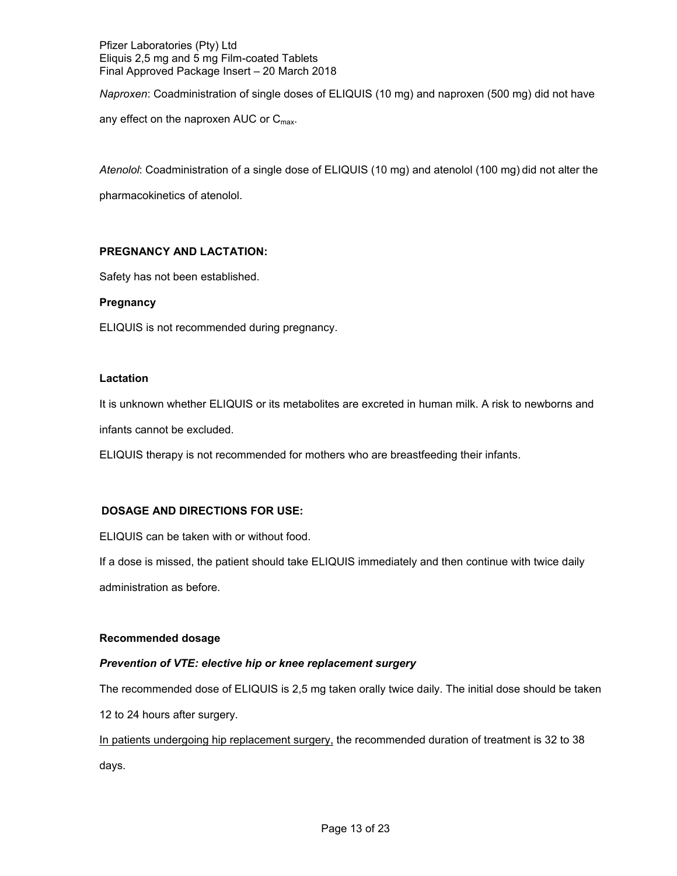*Naproxen*: Coadministration of single doses of ELIQUIS (10 mg) and naproxen (500 mg) did not have any effect on the naproxen AUC or  $C_{\text{max}}$ .

*Atenolol*: Coadministration of a single dose of ELIQUIS (10 mg) and atenolol (100 mg) did not alter the pharmacokinetics of atenolol.

# **PREGNANCY AND LACTATION:**

Safety has not been established.

# **Pregnancy**

ELIQUIS is not recommended during pregnancy.

## **Lactation**

It is unknown whether ELIQUIS or its metabolites are excreted in human milk. A risk to newborns and infants cannot be excluded.

ELIQUIS therapy is not recommended for mothers who are breastfeeding their infants.

# **DOSAGE AND DIRECTIONS FOR USE:**

ELIQUIS can be taken with or without food.

If a dose is missed, the patient should take ELIQUIS immediately and then continue with twice daily administration as before*.*

# **Recommended dosage**

# *Prevention of VTE: elective hip or knee replacement surgery*

The recommended dose of ELIQUIS is 2,5 mg taken orally twice daily. The initial dose should be taken 12 to 24 hours after surgery.

In patients undergoing hip replacement surgery, the recommended duration of treatment is 32 to 38 days.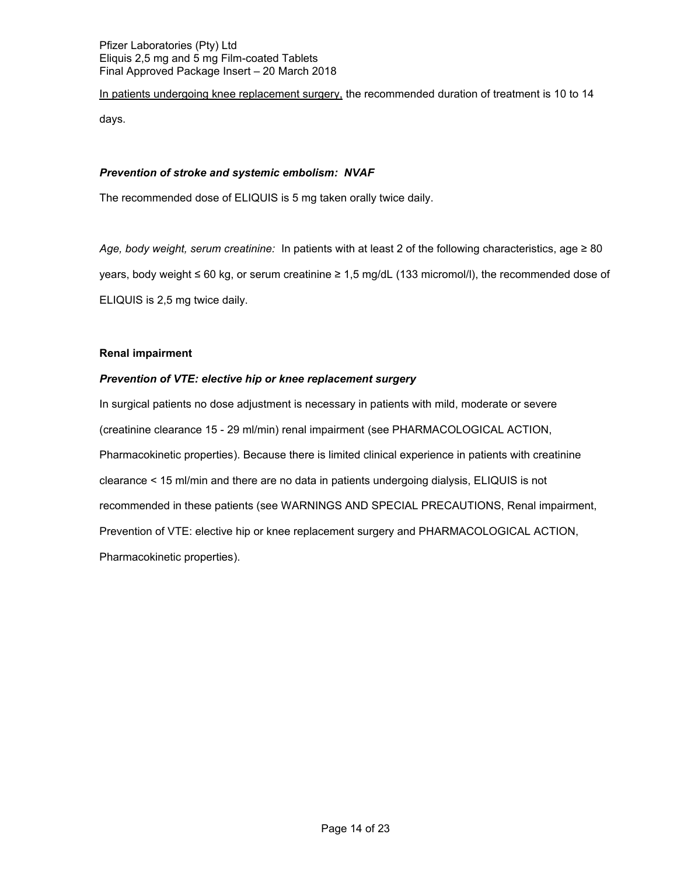In patients undergoing knee replacement surgery, the recommended duration of treatment is 10 to 14 days.

## *Prevention of stroke and systemic embolism: NVAF*

The recommended dose of ELIQUIS is 5 mg taken orally twice daily.

*Age, body weight, serum creatinine:* In patients with at least 2 of the following characteristics, age ≥ 80 years, body weight ≤ 60 kg, or serum creatinine ≥ 1,5 mg/dL (133 micromol/l), the recommended dose of ELIQUIS is 2,5 mg twice daily.

## **Renal impairment**

# *Prevention of VTE: elective hip or knee replacement surgery*

In surgical patients no dose adjustment is necessary in patients with mild, moderate or severe (creatinine clearance 15 - 29 ml/min) renal impairment (see PHARMACOLOGICAL ACTION, Pharmacokinetic properties). Because there is limited clinical experience in patients with creatinine clearance < 15 ml/min and there are no data in patients undergoing dialysis, ELIQUIS is not recommended in these patients (see WARNINGS AND SPECIAL PRECAUTIONS, Renal impairment, Prevention of VTE: elective hip or knee replacement surgery and PHARMACOLOGICAL ACTION, Pharmacokinetic properties).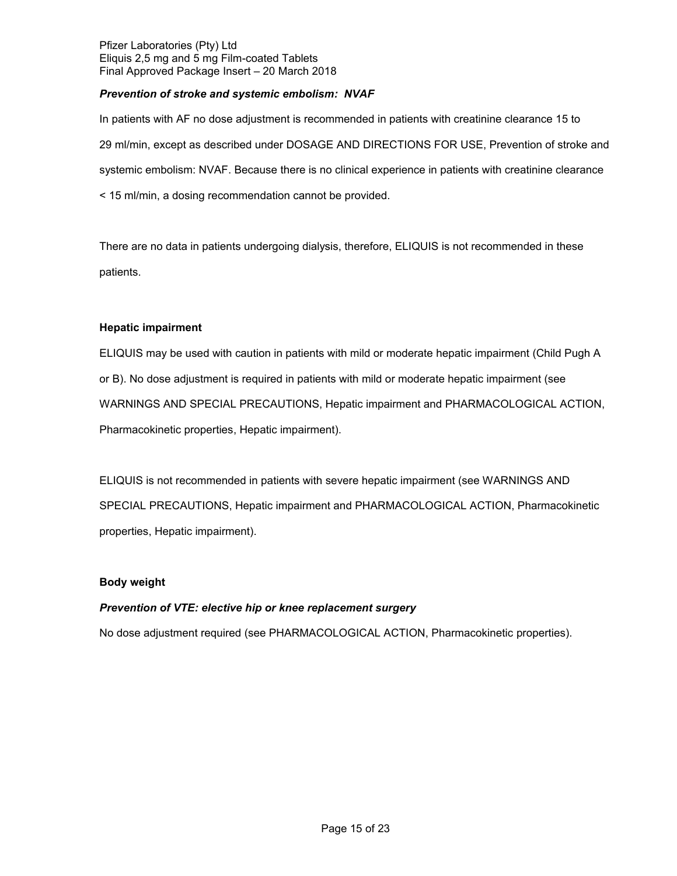# *Prevention of stroke and systemic embolism: NVAF*

In patients with AF no dose adjustment is recommended in patients with creatinine clearance 15 to 29 ml/min, except as described under DOSAGE AND DIRECTIONS FOR USE, Prevention of stroke and systemic embolism: NVAF. Because there is no clinical experience in patients with creatinine clearance < 15 ml/min, a dosing recommendation cannot be provided.

There are no data in patients undergoing dialysis, therefore, ELIQUIS is not recommended in these patients.

# **Hepatic impairment**

ELIQUIS may be used with caution in patients with mild or moderate hepatic impairment (Child Pugh A or B). No dose adjustment is required in patients with mild or moderate hepatic impairment (see WARNINGS AND SPECIAL PRECAUTIONS, Hepatic impairment and PHARMACOLOGICAL ACTION, Pharmacokinetic properties, Hepatic impairment).

ELIQUIS is not recommended in patients with severe hepatic impairment (see WARNINGS AND SPECIAL PRECAUTIONS, Hepatic impairment and PHARMACOLOGICAL ACTION, Pharmacokinetic properties, Hepatic impairment).

# **Body weight**

# *Prevention of VTE: elective hip or knee replacement surgery*

No dose adjustment required (see PHARMACOLOGICAL ACTION, Pharmacokinetic properties).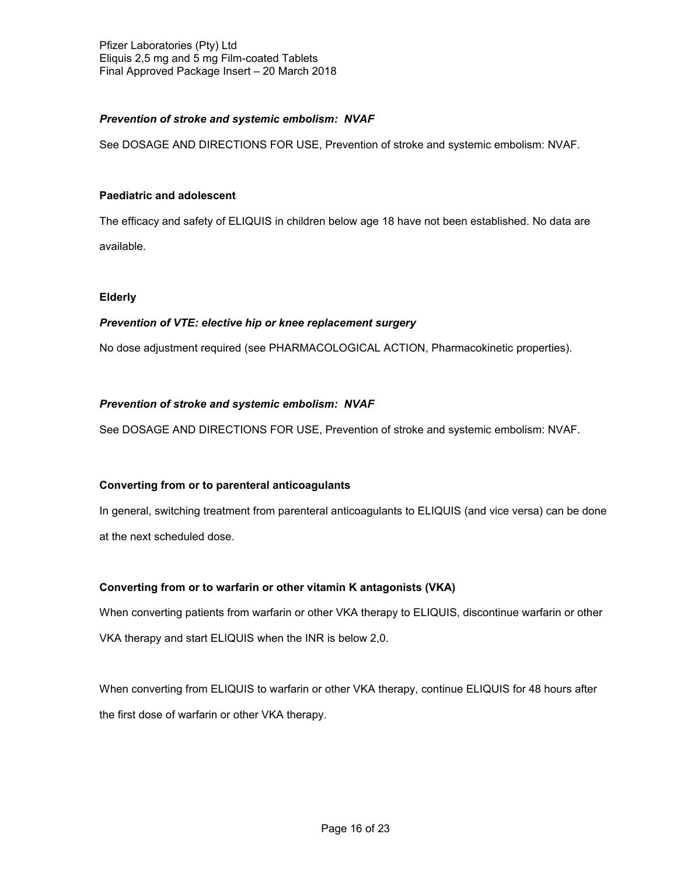# *Prevention of stroke and systemic embolism: NVAF*

See DOSAGE AND DIRECTIONS FOR USE, Prevention of stroke and systemic embolism: NVAF.

## **Paediatric and adolescent**

The efficacy and safety of ELIQUIS in children below age 18 have not been established. No data are available.

## **Elderly**

# *Prevention of VTE: elective hip or knee replacement surgery*

No dose adjustment required (see PHARMACOLOGICAL ACTION, Pharmacokinetic properties).

## *Prevention of stroke and systemic embolism: NVAF*

See DOSAGE AND DIRECTIONS FOR USE, Prevention of stroke and systemic embolism: NVAF.

### **Converting from or to parenteral anticoagulants**

In general, switching treatment from parenteral anticoagulants to ELIQUIS (and vice versa) can be done at the next scheduled dose.

# **Converting from or to warfarin or other vitamin K antagonists (VKA)**

When converting patients from warfarin or other VKA therapy to ELIQUIS, discontinue warfarin or other VKA therapy and start ELIQUIS when the INR is below 2,0.

When converting from ELIQUIS to warfarin or other VKA therapy, continue ELIQUIS for 48 hours after the first dose of warfarin or other VKA therapy.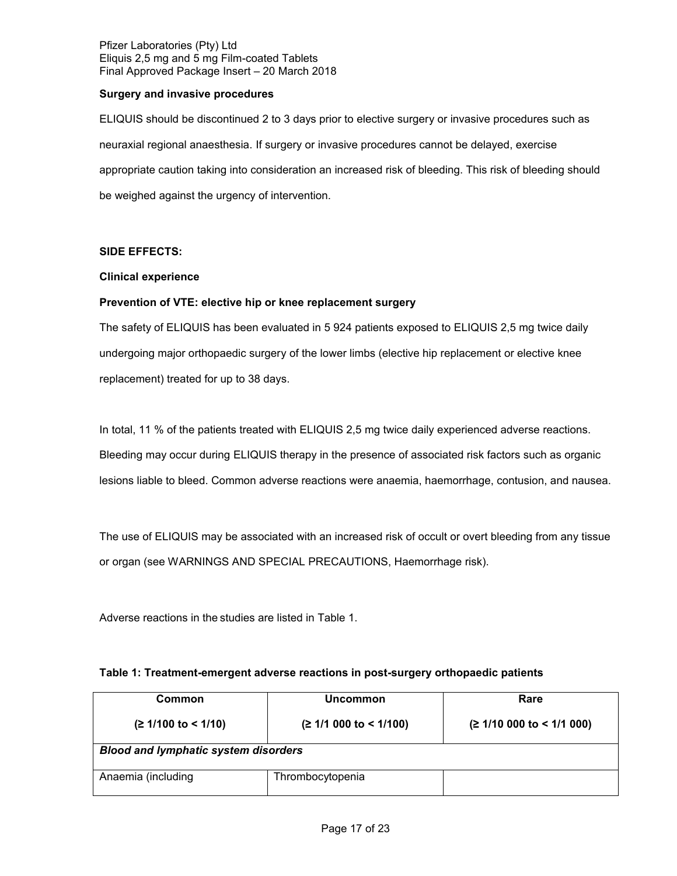## **Surgery and invasive procedures**

ELIQUIS should be discontinued 2 to 3 days prior to elective surgery or invasive procedures such as neuraxial regional anaesthesia. If surgery or invasive procedures cannot be delayed, exercise appropriate caution taking into consideration an increased risk of bleeding. This risk of bleeding should be weighed against the urgency of intervention.

## **SIDE EFFECTS:**

## **Clinical experience**

## **Prevention of VTE: elective hip or knee replacement surgery**

The safety of ELIQUIS has been evaluated in 5 924 patients exposed to ELIQUIS 2,5 mg twice daily undergoing major orthopaedic surgery of the lower limbs (elective hip replacement or elective knee replacement) treated for up to 38 days.

In total, 11 % of the patients treated with ELIQUIS 2,5 mg twice daily experienced adverse reactions. Bleeding may occur during ELIQUIS therapy in the presence of associated risk factors such as organic lesions liable to bleed. Common adverse reactions were anaemia, haemorrhage, contusion, and nausea.

The use of ELIQUIS may be associated with an increased risk of occult or overt bleeding from any tissue or organ (see WARNINGS AND SPECIAL PRECAUTIONS, Haemorrhage risk).

Adverse reactions in the studies are listed in Table 1.

### **Table 1: Treatment-emergent adverse reactions in post-surgery orthopaedic patients**

| Common                                      | Uncommon                 | Rare                   |  |  |
|---------------------------------------------|--------------------------|------------------------|--|--|
| $(≥ 1/100$ to < 1/10)                       | $(≥ 1/1 000$ to < 1/100) | (21/10000 to < 1/1000) |  |  |
| <b>Blood and lymphatic system disorders</b> |                          |                        |  |  |
| Anaemia (including                          | Thrombocytopenia         |                        |  |  |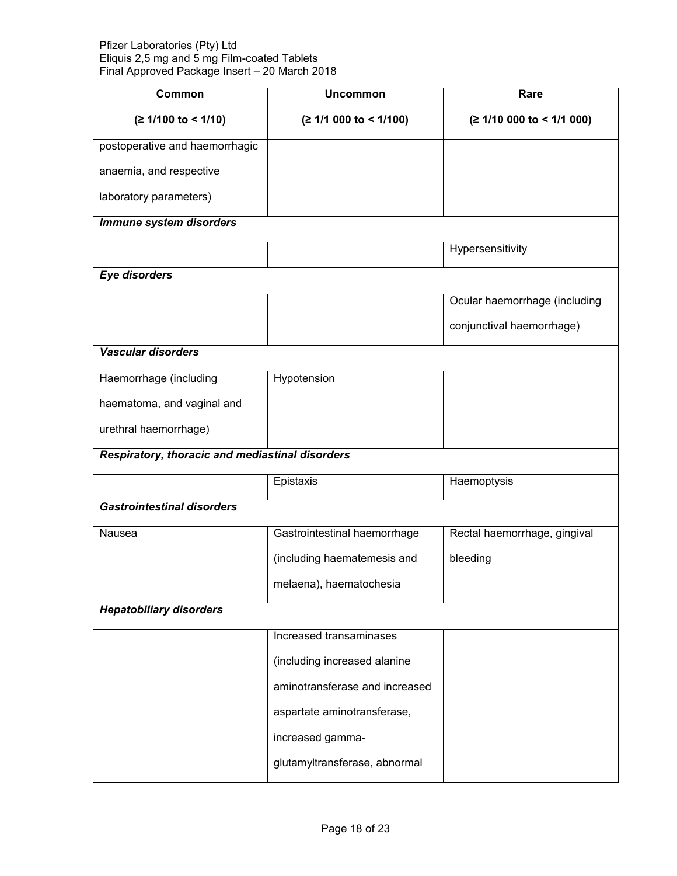| Common                                          | <b>Uncommon</b>                | Rare                          |  |
|-------------------------------------------------|--------------------------------|-------------------------------|--|
| $(≥ 1/100$ to < 1/10)                           | (≥ 1/1 000 to < 1/100)         | (≥ 1/10 000 to < 1/1 000)     |  |
| postoperative and haemorrhagic                  |                                |                               |  |
| anaemia, and respective                         |                                |                               |  |
| laboratory parameters)                          |                                |                               |  |
| Immune system disorders                         |                                |                               |  |
|                                                 |                                | Hypersensitivity              |  |
| <b>Eye disorders</b>                            |                                |                               |  |
|                                                 |                                | Ocular haemorrhage (including |  |
|                                                 |                                | conjunctival haemorrhage)     |  |
| Vascular disorders                              |                                |                               |  |
| Haemorrhage (including                          | Hypotension                    |                               |  |
| haematoma, and vaginal and                      |                                |                               |  |
| urethral haemorrhage)                           |                                |                               |  |
| Respiratory, thoracic and mediastinal disorders |                                |                               |  |
|                                                 | Epistaxis                      | Haemoptysis                   |  |
| <b>Gastrointestinal disorders</b>               |                                |                               |  |
| Nausea                                          | Gastrointestinal haemorrhage   | Rectal haemorrhage, gingival  |  |
|                                                 | (including haematemesis and    | bleeding                      |  |
|                                                 | melaena), haematochesia        |                               |  |
| <b>Hepatobiliary disorders</b>                  |                                |                               |  |
|                                                 | Increased transaminases        |                               |  |
|                                                 | (including increased alanine   |                               |  |
|                                                 | aminotransferase and increased |                               |  |
|                                                 | aspartate aminotransferase,    |                               |  |
|                                                 | increased gamma-               |                               |  |
|                                                 | glutamyltransferase, abnormal  |                               |  |
|                                                 |                                |                               |  |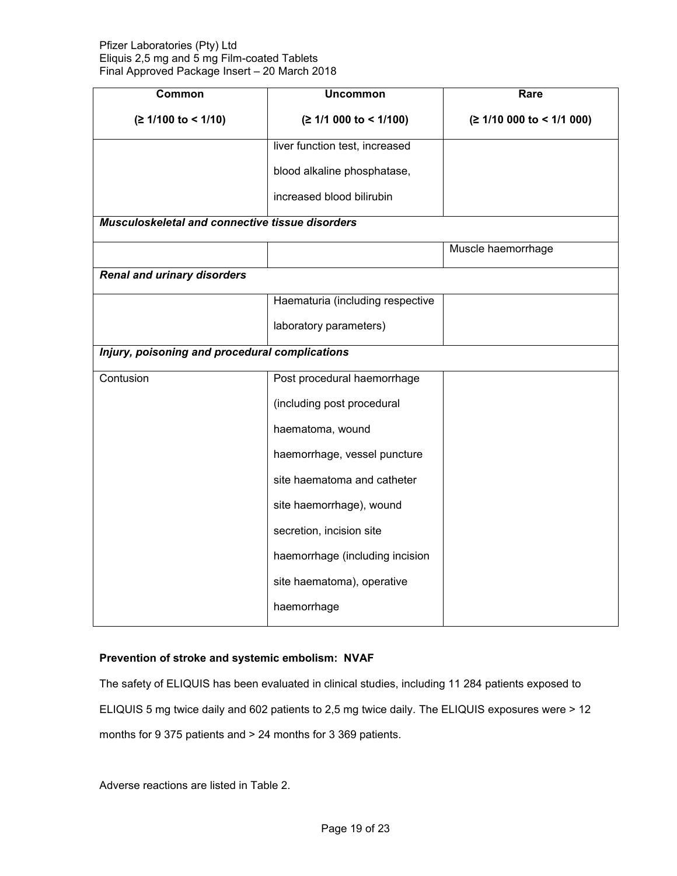| Common                                          | <b>Uncommon</b>                  | Rare                      |  |  |
|-------------------------------------------------|----------------------------------|---------------------------|--|--|
| $(≥ 1/100$ to < 1/10)                           | (≥ 1/1 000 to < 1/100)           | (≥ 1/10 000 to < 1/1 000) |  |  |
|                                                 | liver function test, increased   |                           |  |  |
|                                                 | blood alkaline phosphatase,      |                           |  |  |
|                                                 | increased blood bilirubin        |                           |  |  |
| Musculoskeletal and connective tissue disorders |                                  |                           |  |  |
|                                                 |                                  | Muscle haemorrhage        |  |  |
| Renal and urinary disorders                     |                                  |                           |  |  |
|                                                 | Haematuria (including respective |                           |  |  |
|                                                 | laboratory parameters)           |                           |  |  |
| Injury, poisoning and procedural complications  |                                  |                           |  |  |
| Contusion                                       | Post procedural haemorrhage      |                           |  |  |
|                                                 | (including post procedural       |                           |  |  |
|                                                 | haematoma, wound                 |                           |  |  |
|                                                 | haemorrhage, vessel puncture     |                           |  |  |
|                                                 | site haematoma and catheter      |                           |  |  |
|                                                 | site haemorrhage), wound         |                           |  |  |
|                                                 | secretion, incision site         |                           |  |  |
|                                                 | haemorrhage (including incision  |                           |  |  |
|                                                 | site haematoma), operative       |                           |  |  |
|                                                 | haemorrhage                      |                           |  |  |

# **Prevention of stroke and systemic embolism: NVAF**

The safety of ELIQUIS has been evaluated in clinical studies, including 11 284 patients exposed to ELIQUIS 5 mg twice daily and 602 patients to 2,5 mg twice daily. The ELIQUIS exposures were > 12 months for 9 375 patients and > 24 months for 3 369 patients.

Adverse reactions are listed in Table 2.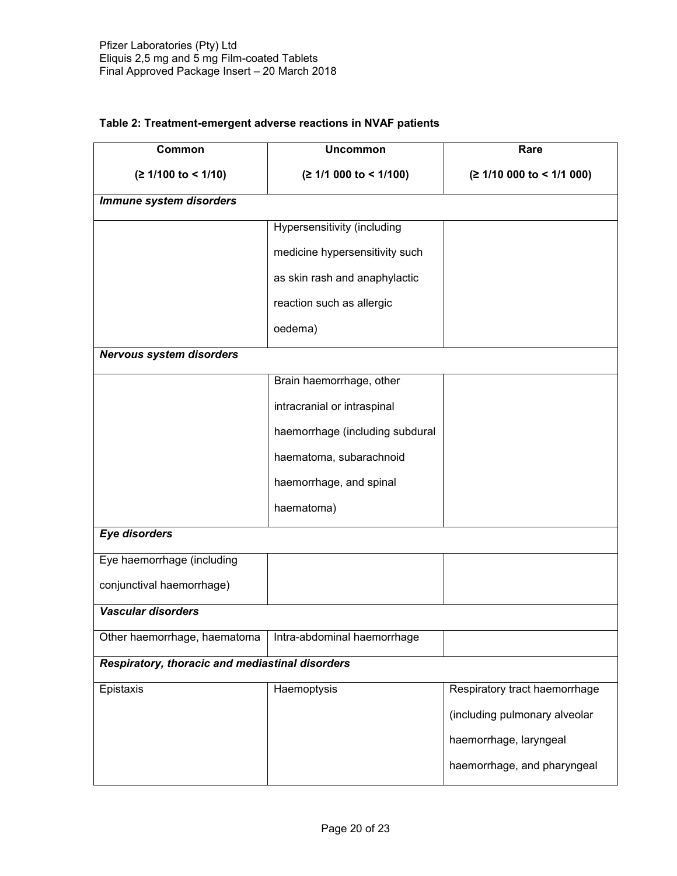| Common                                                     | <b>Uncommon</b>                 | Rare                          |
|------------------------------------------------------------|---------------------------------|-------------------------------|
| $(≥ 1/100$ to < 1/10)                                      | (≥ 1/1 000 to < 1/100)          | (≥ 1/10 000 to < 1/1 000)     |
| Immune system disorders                                    |                                 |                               |
|                                                            | Hypersensitivity (including     |                               |
|                                                            | medicine hypersensitivity such  |                               |
|                                                            | as skin rash and anaphylactic   |                               |
|                                                            | reaction such as allergic       |                               |
|                                                            | oedema)                         |                               |
| <b>Nervous system disorders</b>                            |                                 |                               |
|                                                            | Brain haemorrhage, other        |                               |
|                                                            | intracranial or intraspinal     |                               |
|                                                            | haemorrhage (including subdural |                               |
|                                                            | haematoma, subarachnoid         |                               |
|                                                            | haemorrhage, and spinal         |                               |
|                                                            | haematoma)                      |                               |
| <b>Eye disorders</b>                                       |                                 |                               |
| Eye haemorrhage (including                                 |                                 |                               |
| conjunctival haemorrhage)                                  |                                 |                               |
| Vascular disorders                                         |                                 |                               |
| Other haemorrhage, haematoma   Intra-abdominal haemorrhage |                                 |                               |
| Respiratory, thoracic and mediastinal disorders            |                                 |                               |
| Epistaxis                                                  | Haemoptysis                     | Respiratory tract haemorrhage |
|                                                            |                                 | (including pulmonary alveolar |
|                                                            |                                 | haemorrhage, laryngeal        |
|                                                            |                                 | haemorrhage, and pharyngeal   |

# **Table 2: Treatment-emergent adverse reactions in NVAF patients**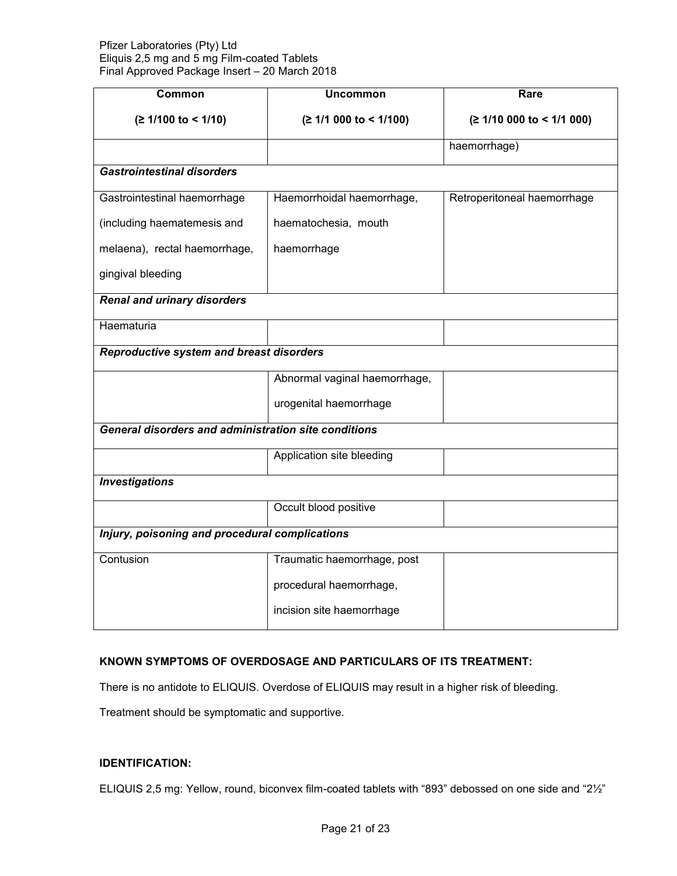| Common                                                      | <b>Uncommon</b>               | Rare                        |  |
|-------------------------------------------------------------|-------------------------------|-----------------------------|--|
| $(≥ 1/100$ to < 1/10)                                       | (≥ 1/1 000 to < 1/100)        | (≥ 1/10 000 to < 1/1 000)   |  |
|                                                             |                               | haemorrhage)                |  |
| <b>Gastrointestinal disorders</b>                           |                               |                             |  |
| Gastrointestinal haemorrhage                                | Haemorrhoidal haemorrhage,    | Retroperitoneal haemorrhage |  |
| (including haematemesis and                                 | haematochesia, mouth          |                             |  |
| melaena), rectal haemorrhage,                               | haemorrhage                   |                             |  |
| gingival bleeding                                           |                               |                             |  |
| <b>Renal and urinary disorders</b>                          |                               |                             |  |
| Haematuria                                                  |                               |                             |  |
| Reproductive system and breast disorders                    |                               |                             |  |
|                                                             | Abnormal vaginal haemorrhage, |                             |  |
|                                                             | urogenital haemorrhage        |                             |  |
| <b>General disorders and administration site conditions</b> |                               |                             |  |
|                                                             | Application site bleeding     |                             |  |
| <b>Investigations</b>                                       |                               |                             |  |
|                                                             | Occult blood positive         |                             |  |
| Injury, poisoning and procedural complications              |                               |                             |  |
| Contusion                                                   | Traumatic haemorrhage, post   |                             |  |
|                                                             | procedural haemorrhage,       |                             |  |
|                                                             | incision site haemorrhage     |                             |  |

# **KNOWN SYMPTOMS OF OVERDOSAGE AND PARTICULARS OF ITS TREATMENT:**

There is no antidote to ELIQUIS. Overdose of ELIQUIS may result in a higher risk of bleeding.

Treatment should be symptomatic and supportive.

# **IDENTIFICATION:**

ELIQUIS 2,5 mg: Yellow, round, biconvex film-coated tablets with "893" debossed on one side and "2½"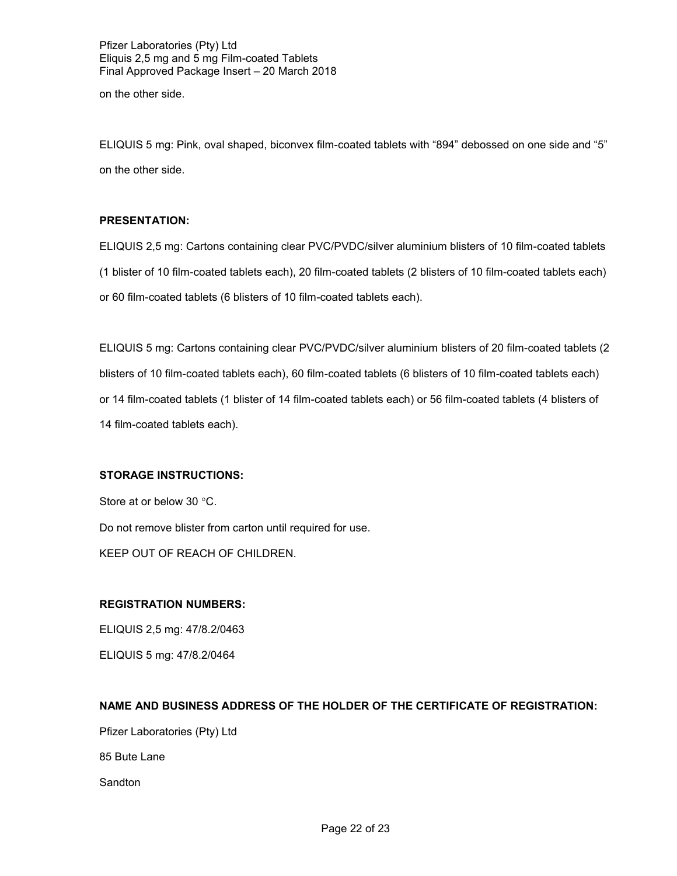on the other side.

ELIQUIS 5 mg: Pink, oval shaped, biconvex film-coated tablets with "894" debossed on one side and "5" on the other side.

# **PRESENTATION:**

ELIQUIS 2,5 mg: Cartons containing clear PVC/PVDC/silver aluminium blisters of 10 film-coated tablets (1 blister of 10 film-coated tablets each), 20 film-coated tablets (2 blisters of 10 film-coated tablets each) or 60 film-coated tablets (6 blisters of 10 film-coated tablets each).

ELIQUIS 5 mg: Cartons containing clear PVC/PVDC/silver aluminium blisters of 20 film-coated tablets (2 blisters of 10 film-coated tablets each), 60 film-coated tablets (6 blisters of 10 film-coated tablets each) or 14 film-coated tablets (1 blister of 14 film-coated tablets each) or 56 film-coated tablets (4 blisters of 14 film-coated tablets each).

# **STORAGE INSTRUCTIONS:**

Store at or below 30  $\degree$ C. Do not remove blister from carton until required for use. KEEP OUT OF REACH OF CHILDREN.

# **REGISTRATION NUMBERS:**

ELIQUIS 2,5 mg: 47/8.2/0463 ELIQUIS 5 mg: 47/8.2/0464

# **NAME AND BUSINESS ADDRESS OF THE HOLDER OF THE CERTIFICATE OF REGISTRATION:**

Pfizer Laboratories (Pty) Ltd

85 Bute Lane

**Sandton**